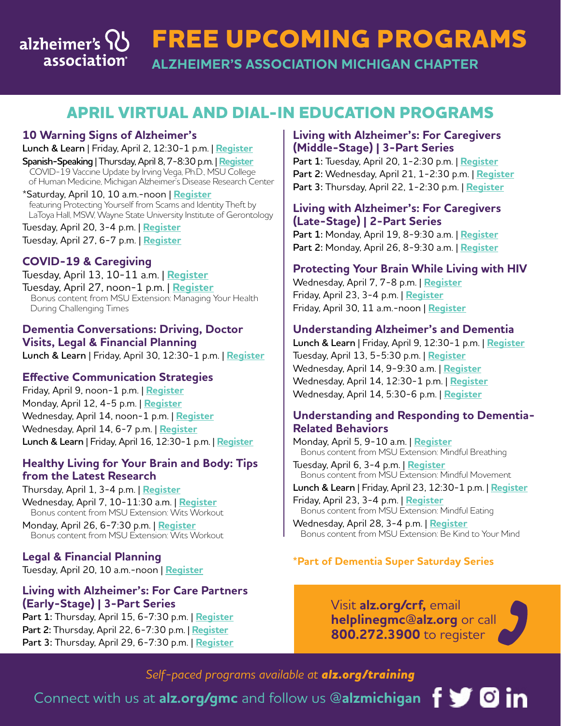#### **FREE UPCOMING PROGRAMS** alzheimer's  $\{ \}$ association **ALZHEIMER'S ASSOCIATION MICHIGAN CHAPTER**

# **APRIL VIRTUAL AND DIAL-IN EDUCATION PROGRAMS**

## **10 Warning Signs of Alzheimer's**

**Lunch & Learn** | Friday, April 2, 12:30-1 p.m. | **[Register](https://www.communityresourcefinder.org/ResourceView/Index?id=2152469&profileDefinitionId=93) Spanish-Speaking** | Thursday, April 8, 7-8:30 p.m. | **[Register](https://www.communityresourcefinder.org/ResourceView/Index?id=2148058&profileDefinitionId=93)** COVID-19 Vaccine Update by Irving Vega, Ph.D., MSU College of Human Medicine, Michigan Alzheimer's Disease Research Center

\*Saturday, April 10, 10 a.m.-noon | **[Register](https://www.communityresourcefinder.org/ResourceView/Index?id=2152251&profileDefinitionId=93&_ga=2.207410903.537995245.1615777429-1213458449.1564158696)** featuring Protecting Yourself from Scams and Identity Theft by LaToya Hall, MSW, Wayne State University Institute of Gerontology

Tuesday, April 20, 3-4 p.m. | **[Register](https://www.communityresourcefinder.org/ResourceView/Index?id=2147190&profileDefinitionId=93)** Tuesday, April 27, 6-7 p.m. | **[Register](https://www.communityresourcefinder.org/ResourceView/Index?id=2152026&profileDefinitionId=93)**

## **COVID-19 & Caregiving**

Tuesday, April 13, 10-11 a.m. | **[Register](https://www.communityresourcefinder.org/ResourceView/Index?id=2153800&profileDefinitionId=93&_ga=2.252809805.537995245.1615777429-1213458449.1564158696)** Tuesday, April 27, noon-1 p.m. | **[Registe](https://alz-org.zoom.us/meeting/register/tJIrf-6rpjgoGdTJ-ZuYV1ZeHoevqvruXSXz)r** Bonus content from MSU Extension: Managing Your Health During Challenging Times

## **Dementia Conversations: Driving, Doctor Visits, Legal & Financial Planning**

**Lunch & Learn** | Friday, April 30, 12:30-1 p.m. | **[Register](https://www.communityresourcefinder.org/ResourceView/Index?id=2152468&profileDefinitionId=93)**

## **Effective Communication Strategies**

Friday, April 9, noon-1 p.m. | **[Register](https://www.communityresourcefinder.org/ResourceView/Index?id=2152040&profileDefinitionId=93)** Monday, April 12, 4-5 p.m. | **[Register](https://www.communityresourcefinder.org/ResourceView/Index?id=2121392&profileDefinitionId=93)** Wednesday, April 14, noon-1 p.m. | **[Register](https://www.communityresourcefinder.org/ResourceView/Index?id=2155369&profileDefinitionId=93)** Wednesday, April 14, 6-7 p.m. | **[Register](https://www.communityresourcefinder.org/ResourceView/Index?id=2155355&profileDefinitionId=93) Lunch & Learn** | Friday, April 16, 12:30-1 p.m. | **[Register](https://www.communityresourcefinder.org/ResourceView/Index?id=2152471&profileDefinitionId=93)**

### **Healthy Living for Your Brain and Body: Tips from the Latest Research**

Thursday, April 1, 3-4 p.m. | **[Register](https://www.communityresourcefinder.org/ResourceView/Index?id=2145658&profileDefinitionId=93)** Wednesday, April 7, 10-11:30 a.m. | **[Register](https://msu.zoom.us/meeting/register/tJckcuGvqDgvGNJx3wQzTRsEWPEAgVrHDnMs)** Bonus content from MSU Extension: Wits Workout

Monday, April 26, 6-7:30 p.m. | **[Register](https://msu.zoom.us/meeting/register/tJAsfuqhqTsqE9yALlqxce8N4ndNZMsbCGLS)** Bonus content from MSU Extension: Wits Workout

**Legal & Financial Planning** Tuesday, April 20, 10 a.m.-noon | **[Register](https://www.communityresourcefinder.org/ResourceView/Index?id=2133896&profileDefinitionId=93)**

## **Living with Alzheimer's: For Care Partners (Early-Stage) | 3-Part Series**

**Part 1:** Thursday, April 15, 6-7:30 p.m. | **[Register](https://www.communityresourcefinder.org/ResourceView/Index?id=2142409&profileDefinitionId=93) Part 2:** Thursday, April 22, 6-7:30 p.m. | **[Register](https://www.communityresourcefinder.org/ResourceView/Index?id=2142417&profileDefinitionId=93) Part 3:** Thursday, April 29, 6-7:30 p.m. | **[Register](https://www.communityresourcefinder.org/ResourceView/Index?id=2142415&profileDefinitionId=93)**

## **Living with Alzheimer's: For Caregivers (Middle-Stage) | 3-Part Series**

**Part 1:** Tuesday, April 20, 1-2:30 p.m. | **[Register](https://www.communityresourcefinder.org/ResourceView/Index?id=2142425&profileDefinitionId=93) Part 2:** Wednesday, April 21, 1-2:30 p.m. | **[Register](https://www.communityresourcefinder.org/ResourceView/Index?id=2145662) Part 3:** Thursday, April 22, 1-2:30 p.m. | **[Register](https://www.communityresourcefinder.org/ResourceView/Index?id=2142633&profileDefinitionId=93)**

### **Living with Alzheimer's: For Caregivers (Late-Stage) | 2-Part Series**

**Part 1:** Monday, April 19, 8-9:30 a.m. | **[Register](https://www.communityresourcefinder.org/ResourceView/Index?id=2153371&profileDefinitionId=93) Part 2:** Monday, April 26, 8-9:30 a.m. | **[Register](https://www.communityresourcefinder.org/ResourceView/Index?id=2153357&profileDefinitionId=93)**

## **Protecting Your Brain While Living with HIV**

Wednesday, April 7, 7-8 p.m. | **[Register](https://alz-org.zoom.us/webinar/register/WN_RIlvqkptTtm79U6_UBiePw)** Friday, April 23, 3-4 p.m. | **[Register](https://alz-org.zoom.us/webinar/register/WN_VEn3vPlwSHCtzmLz2vSC4Q)** Friday, April 30, 11 a.m.-noon | **[Register](https://alz-org.zoom.us/webinar/register/WN_padXTq47SNyqc8YyZUlcEQ)**

### **Understanding Alzheimer's and Dementia**

**Lunch & Learn** | Friday, April 9, 12:30-1 p.m. | **[Register](https://www.communityresourcefinder.org/ResourceView/Index?id=2152470&profileDefinitionId=93)** Tuesday, April 13, 5-5:30 p.m. | **[Register](https://www.communityresourcefinder.org/ResourceView/Index?id=2145900&profileDefinitionId=93)** Wednesday, April 14, 9-9:30 a.m. | **[Register](https://www.communityresourcefinder.org/ResourceView/Index?id=2117408&profileDefinitionId=93)** Wednesday, April 14, 12:30-1 p.m. | **[Register](https://www.communityresourcefinder.org/ResourceView/Index?id=2117398&profileDefinitionId=93)** Wednesday, April 14, 5:30-6 p.m. | **[Register](https://www.communityresourcefinder.org/ResourceView/Index?id=2117400&profileDefinitionId=93)**

## **Understanding and Responding to Dementia-Related Behaviors**

Monday, April 5, 9-10 a.m. | **[Register](https://alz-org.zoom.us/meeting/register/tJMlcemoqzMrGNWCS156CKeuftBkJTA167OZ)** Bonus content from MSU Extension: Mindful Breathing

Tuesday, April 6, 3-4 p.m. | **[Register](https://alz-org.zoom.us/meeting/register/tJEuceGpqT4jHtcm1ciPPO8MAX4J1Anuayp0)** Bonus content from MSU Extension: Mindful Movement

**Lunch & Learn** | Friday, April 23, 12:30-1 p.m. | **[Register](https://www.communityresourcefinder.org/ResourceView/Index?id=2152467&profileDefinitionId=93)**

Friday, April 23, 3-4 p.m. | **[Register](https://alz-org.zoom.us/meeting/register/tJIqdOisqz0rGddap4uPr1WlYmfHfxQfpn8-)** Bonus content from MSU Extension: Mindful Eating Wednesday, April 28, 3-4 p.m. | **[Register](https://alz-org.zoom.us/meeting/register/tJwkfuuvpjwoE9QP-DdtOAeCApm7yb2rOU2b)**

Bonus content from MSU Extension: Be Kind to Your Mind

## **\*Part of Dementia Super Saturday Series**

Visit **[alz.org/crf](http://alz.org/crf),** email **helplinegmc@alz.org** or call **800.272.3900** to register

## *Self-paced programs available at [alz.org/training](http://alz.org/training)*

Connect with us at **[alz.org/gmc](http://alz.org/gmc)** and follow us **@alzmichigan**